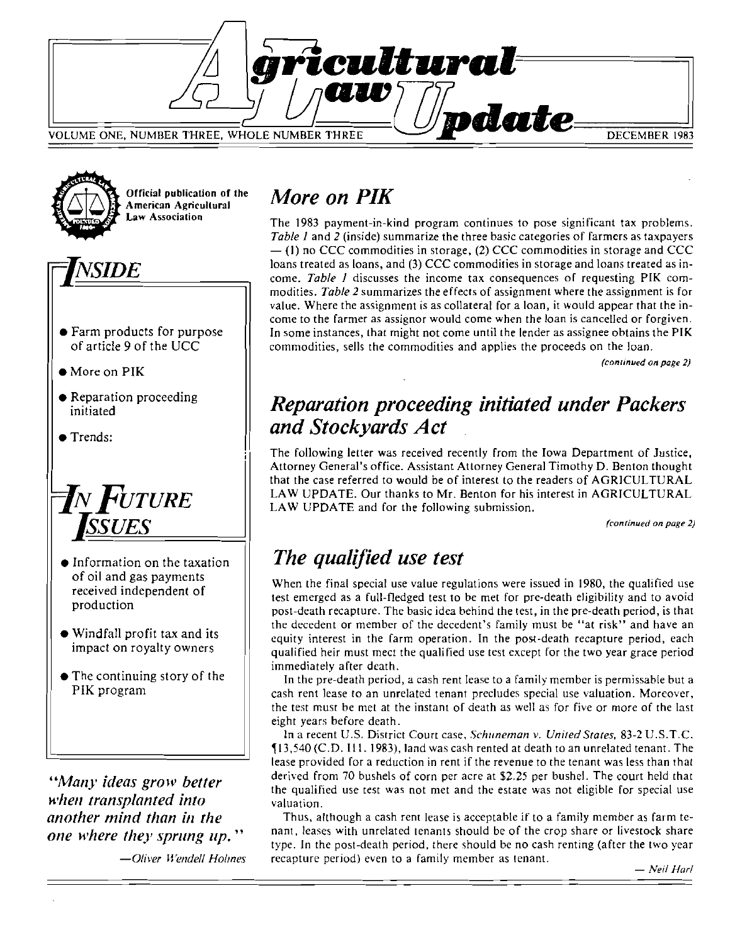



Official publication of the<br>American Agricultural

# $\overline{N}$ *SIDE*

- Farm products for purpose of article 9 of the UCC
- $\bullet$  More on PIK
- Reparation proceeding initiated
- Trends:



- Information on the taxation of oil and gas payments received independent of production
- Windfall profit tax and its impact on royalty owners
- $\bullet$  The continuing story of the PIK program

*"Many ideas grow better when transplanted into another mind than in the one where they sprung lip. "* 

*-Oliver Wendell Holmes* 

# *More on PIK*

The 1983 payment-in-kind program continues to pose significant tax problems. *Table* 1 and 2 (inside) summarize the three basic categories of farmers as taxpayers  $-$  (1) no CCC commodities in storage, (2) CCC commodities in storage and CCC loans treated as loans, and (3) CCC commodities in storage and loans treated as income. *Table* J discusses the income tax consequences of requesting PIK commodities. Table 2 summarizes the effects of assignment where the assignment is for value. Where the assignment is as collateral for a loan, it would appear that the income to the farmer as assignor would come when the loan is cancelled or forgiven. In some instances, that might not come until the lender as assignee obtains the PIK commodities, sells the commodities and applies the proceeds on the loan.

*(continued on page 2)* 

## *Reparation proceeding initiated under Packers and Stockyards Act*

The following letter was received recently from the Iowa Department of Justice, Attorney General's office. Assistant Attorney General Timothy D. Benton thought that the case referred to would be of interest to the readers of AGRICULTURAL LAW UPDATE. Our thanks to Mr. Benton for his interest in AGRICULTURAL LAW UPDATE and for the following submission.

*(continued on page 2)* 

# *The qualified use test*

When the final special use value regulations were issued in 1980, the qualified use test emerged as a full-fledged test to be met for pre-death eligibility and to avoid post-death recapture. The basic idea behind the test, in the pre-death period, is that the decedent or member of the decedent's family must be "at risk" and have an equity interest in the farm operation. In the pos-t-death recapture period, each qualified heir must mect the qualified use test except for the two year grace period immediately after death.

[n the pre-death period, a cash rent lease *to* a family member is permissable but a cash rent lease to an unrelated tenant precludes special use valuation. Moreover, the test must be met at the instant of death as well as for five or more of the last eight years before death.

In a recent U.S. District Court case, *Schuneman v. United Stales,* 83-2 U.S.T.C.  $\P$ 13,540 (C.D. III. 1983), land was cash rented at death to an unrelated tenant. The lease provided for a reduction in rent if the revenue to the tenant was less than that derived from 70 bushels of corn per acre at \$2.25 per bushel. The court held that the qualified use test was not met and the estate was not eligible for special use valuation.

Thus, although a cash rent lease is acceptable if to a family member as farm tenant, leases with unrelated tenants should be of the crop share or livestock share type. In the post-death period, there should be no cash renting (after the two year recapture period) even to a family member as tenant.  $-$ *Neil Harl*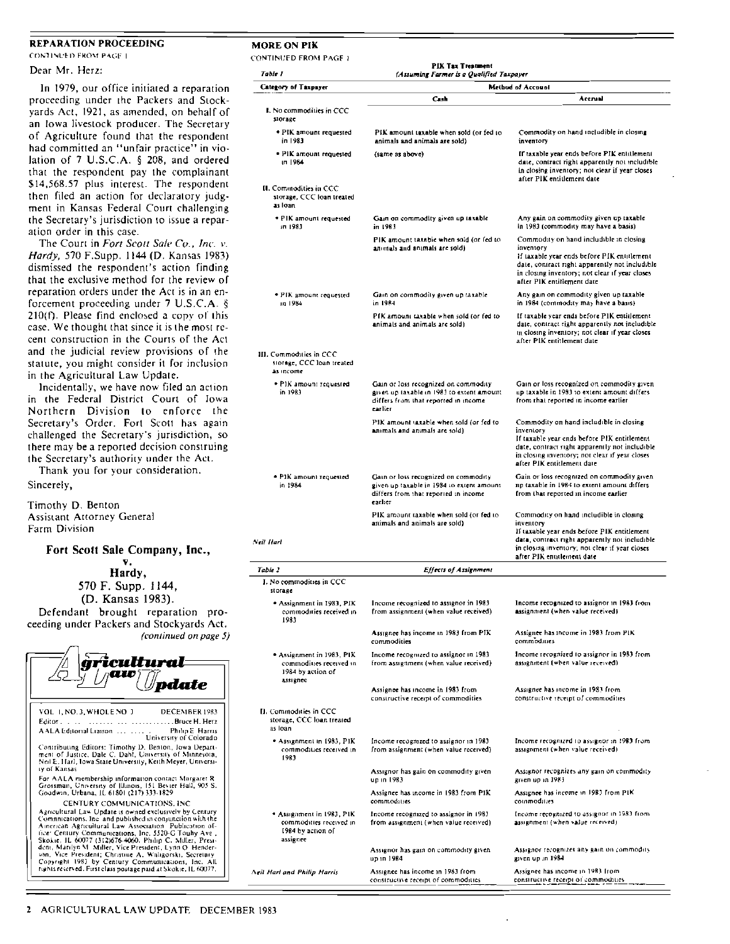### REPARATION PROCEEDING CONTINUED FROM PACE 1.

Dear Mr. Herz:

In 1979, our office initiated a reparation proceeding under the Packers and SLOckyards Act. 1921, as amended, on behalf of an Iowa livestock producer. The Secretary of Agriculture found that the respondent had committed an "unfair practice" in violation of 7 U.S.CA. § 208, and ordered that the respondent pay the complainant \$14,568.57 plus interest. The respondent then filed an action for declaratory judgment in Kansas Federal Court challenging Ihe Secretary's jurisdiction 10 issue a reparation order in this case.

The Court in Fort Scott Sale Co., Inc. v. *Hardy, 570 F.Supp. 1144 (D. Kansas 1983)* dismissed the respondent's action finding that the exclusive method for the review of reparation orders under the Act is in an enforcement proceeding under 7 U.S.C.A. §  $210(f)$ . Please find enclosed a copy of this case. We thought that since it is the most recenl construction in the Couns of the Act and the judicial review provisions of the statute, you might consider it for inclusion in the Agricultural Law Update.

Incidentally, we have now filed an action in the Federal District Court of Iowa Northern Division to enforce the Secretary's Order. Fort Scott has again challenged the Secretary's jurisdiction, so there may be a reported decision construing the Secretary's authority under the Acl.

Thank you for your consideration. Sincerely,

Timothy D. Benton Assislant Attorney General Farm Division

## Fort Scott Sale Company, Inc.,

v, Hardy,

570 F. Supp. J 144, (D. Kansas 1983).

Defendant brought reparation proceeding under Packers and Stockyards Act. (conlinued on page 5)

|          | icultural<br>Muo                                                                                                                                                                                                                                                                                                                                                                                                                                                                                                                                                                | date                                       |
|----------|---------------------------------------------------------------------------------------------------------------------------------------------------------------------------------------------------------------------------------------------------------------------------------------------------------------------------------------------------------------------------------------------------------------------------------------------------------------------------------------------------------------------------------------------------------------------------------|--------------------------------------------|
| Editor . | VOL 1. NO.3, WHOLE NO 3                                                                                                                                                                                                                                                                                                                                                                                                                                                                                                                                                         | DECEMBER 1983<br>. Bruce H. Herz           |
|          | AALA Editorial Liaison                                                                                                                                                                                                                                                                                                                                                                                                                                                                                                                                                          | Philip E. Harris<br>University of Colorado |
|          | Contributing Editors: Timothy D. Benton, Iowa Depart-<br>ment of Justice, Dale C. Dahl, University of Minnesota,<br>Neil E. Harl, Iowa State University, Keith Meyer, Universi-<br>ty of Kansas                                                                                                                                                                                                                                                                                                                                                                                 |                                            |
|          | For AALA membership information contact Margaret R<br>Grossman, University of Illinois, 151 Bevier Hall, 905 S.<br>Goodwin, Urbana, IL 61801 (217) 333-1829                                                                                                                                                                                                                                                                                                                                                                                                                     |                                            |
|          | CENTURY COMMUNICATIONS, INC.<br>Agricultural Law Update is owned exclusively by Century<br>Comnitional long and published in conjunction with the<br>American Agricultural Law Association Publication of-<br>fice: Century Communications, Inc. 5520-G Touhy Ave.,<br>Skokie, JL 60077 (312)676-4060. Philip C. Miller, Presi-<br>dent, Marilyn M. Miller, Vice President, Lynn O. Hender-<br>son, Vice President; Christine A. Waligorski, Secretary.<br>Copyright 1983 by Century Communications, Inc. All<br>rights reserved. First class postage paid at Skokje, IL 60077. |                                            |

| MORE ON PIK                                                                           |                                                                                                                                       |                                                                                                                                                                                                                                        |  |
|---------------------------------------------------------------------------------------|---------------------------------------------------------------------------------------------------------------------------------------|----------------------------------------------------------------------------------------------------------------------------------------------------------------------------------------------------------------------------------------|--|
| CONTINUED FROM PAGE 1                                                                 | PIX Tax Treatment                                                                                                                     |                                                                                                                                                                                                                                        |  |
| Table I<br>Category of Taxpayer                                                       | (Assuming Farmer is a Qualified Taxpayer<br>Method of Account                                                                         |                                                                                                                                                                                                                                        |  |
|                                                                                       | Cash                                                                                                                                  | Accrual                                                                                                                                                                                                                                |  |
| I. No commodities in CCC<br>storage                                                   |                                                                                                                                       |                                                                                                                                                                                                                                        |  |
| · PIK amount requested<br>in 1983                                                     | PIK amount taxable when sold (or fed to<br>animals and animals are sold)                                                              | Commodity on hand includible in closing<br>inventory                                                                                                                                                                                   |  |
| · PIK amount requested<br>m 1984                                                      | (same as above)                                                                                                                       | If taxable year ends before PIK entitlement<br>date, contract right apparently not includible<br>in closing inventory; not clear if year closes<br>after PIK entitlement date                                                          |  |
| II. Commodities in CCC<br>storage. CCC loan treated<br>as Ioan                        |                                                                                                                                       |                                                                                                                                                                                                                                        |  |
| • PIK amount requested<br>in 1983                                                     | Gain on commodity given up taxable<br>in 1983                                                                                         | Any gain on commodity given up taxable<br>in 1983 (commodity may have a basis)                                                                                                                                                         |  |
|                                                                                       | PIK amount taxable when sold (or fed to<br>animals and animals are sold).                                                             | Commodity on hand includible in closing<br>inventory<br>If taxable year ends before PIK entitlement<br>date, contract right apparently not includible<br>in closing inventory; not clear if year closes<br>after PIK entitlement date  |  |
| · PIK amount requested<br>in 1984                                                     | Gain on commodity given up taxable<br>in 1984                                                                                         | Any gain on commodity given up taxable.<br>in 1984 (commodity may have a basis)                                                                                                                                                        |  |
|                                                                                       | PIK amount taxable when sold (or fed to<br>animals and animals are sold)                                                              | If taxable year ends before PIK entitlement<br>date, contract right apparently not includible<br>in closing inventory; not clear if year closes<br>after PIK entitlement date                                                          |  |
| III. Commoduies in CCC<br>siorage, CCC loan treated<br>as income                      |                                                                                                                                       |                                                                                                                                                                                                                                        |  |
| . PIK amount requested<br>in 1983                                                     | Gain or loss recognized on commodity<br>given up taxable in 1983 to extent amount.<br>differs from that reported in income<br>carlier | Gain or loss recognized on commodity given<br>up taxable in 1983 to extent amount differs.<br>from that reported in income earlier                                                                                                     |  |
|                                                                                       | PIK amount saxable when sold (or fed to<br>animals and animals are sold)                                                              | Commodity on hand includible in closing<br>inventory<br>If taxable year ends before PIK entitlement<br>date, contract right apparently not includible<br>in closing inventory; not clear if year closes<br>after PIK entitlement date  |  |
| . PIK amount requested<br>in 1984                                                     | Gain or loss recognized on commodity<br>given up taxable in 1984 to extent amount.<br>differs from that reported in income<br>earlier | Gain or loss recognized on commodity given<br>np taxable in 1984 to extent amount differs<br>from that reported in income earlier                                                                                                      |  |
| Neil Harl                                                                             | PIK amount taxable when sold (or fed to<br>animals and animals are sold)                                                              | Commodity on hand includible in closing<br>inventory<br>1f taxable year ends before PIK entitlement.<br>data, contract right apparently not includible<br>in closing inventory; not clear if year closes<br>after PJK entitlement date |  |
| Table 2                                                                               | Effects of Assignment                                                                                                                 |                                                                                                                                                                                                                                        |  |
| I. No commodities in CCC<br>storage                                                   |                                                                                                                                       |                                                                                                                                                                                                                                        |  |
| • Assignment in 1983, PIK<br>commodities received in<br>1983                          | Income recognized to assignor in 1983<br>from assignment (when value received)                                                        | Income recognized to assignor in 1983 from<br>assignment (when value received)                                                                                                                                                         |  |
|                                                                                       | Assignee has income in 1983 from PIK<br>commodities                                                                                   | Assignee has income in 1983 from PIK<br>commodities                                                                                                                                                                                    |  |
| • Assignment in 1983, PIK<br>commodities received in<br>1984 by action of<br>assignee | Income recognized to assignor in 1983.<br>from assignment (when value received)                                                       | Income recognized to assignor in 1983 from<br>assignment (when value received).                                                                                                                                                        |  |
| II. Commodities in CCC<br>storage, CCC loan treated<br>as Ioan                        | Assignee has income in 1983 from<br>constructive receipt of commodities                                                               | Assignee has income in 1983 from<br>constructive receipt of commodities.                                                                                                                                                               |  |
| * Assignment in 1983, PIK<br>commodities received in<br>1983                          | Income recognized to assignor in 1983<br>from assignment (when value received)                                                        | Income recognized to assignor in 1983 from<br>assignment (when value received).                                                                                                                                                        |  |
|                                                                                       | Assignor has gain on commodity given<br>up in 1983                                                                                    | Assignor recognizes any gain on commodity<br>given up in 1983                                                                                                                                                                          |  |
|                                                                                       | Assignee has income in 1983 from PIK<br>commodities                                                                                   | Assignee has income in 1983 from PIK<br>commodifies                                                                                                                                                                                    |  |
| • Assignment in 1983, PIK<br>commodities received in<br>1984 by action of<br>assignee | Income recognized to assignor in 1983<br>from assignment (when value received)                                                        | Income recognized to assignor in 1983 from<br>assignment (when value received)                                                                                                                                                         |  |
|                                                                                       | Assignor has gain on commodity given.<br>up in 1984.                                                                                  | Assignor recognizes any gain on commodity<br>given up in 1984                                                                                                                                                                          |  |

Neil *Harl and Philip Harris* Assignee has income in 1983 from

constructive receipt of commodities

Assignee has income in 1983 from constructive receipt of commodities.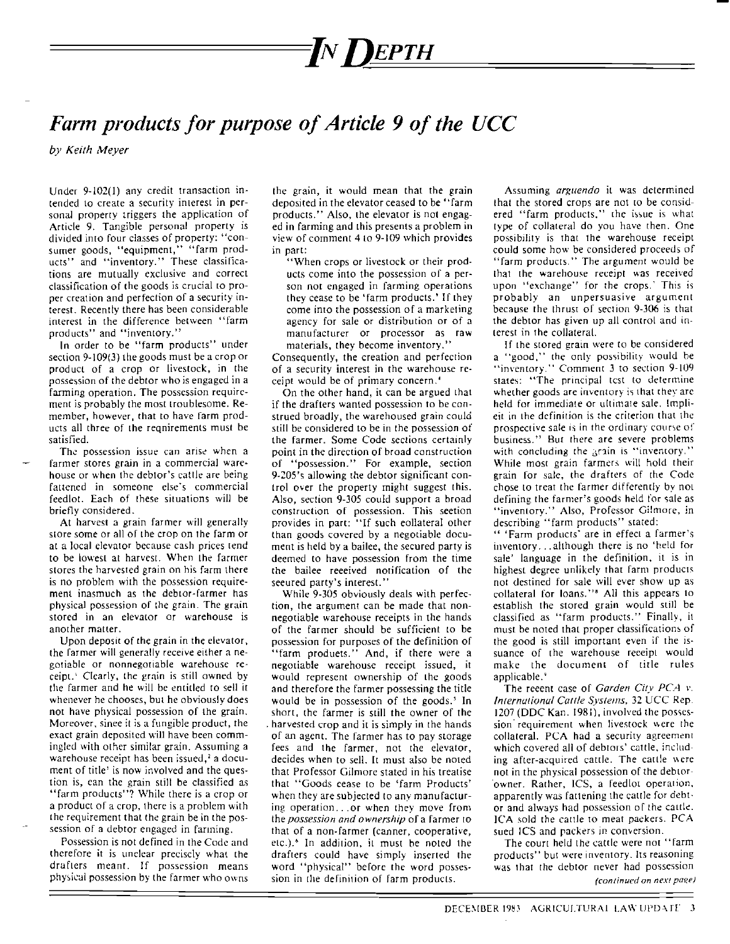# *=INDEPTH*

## Farm products for purpose of Article 9 of the UCC

*by Keith Meyer* 

Under 9-102(1) any credit transaction in~ tended to create a security interest in personal properry triggers the application of Article 9. Tangible personal property is divided into four classes of property: "consumer goods, "equipment," "farm products" and "inventory." These classifications are mutually exclusive and correct classification of the goods is crucial to proper creation and perfection of a security interest. Recently there has been considerable interest in the difference between "farm products" and "inventory."

In order to be "farm products" under section 9-109(3) the goods must be a crop or product of a crop or livestock, in the possession of the debtor who is engaged in a farming operation. The possession requirement is probably the most troublesome. Remember, however, that to have farm products all three of the reqniremenls must be satisfied.

The possession issue can arise when a farmer stores grain in a commercial ware· house or when the debtor's cattle are being fattened in someone else's commercial feedlot. Each of these situations will be briefly considered.

At harvest a grain farmer will generally store some or all of the crop on the farm or at a local elevator because cash prices tend to be lowest at harvest. When lhe farmer stores the harvested grain on his farm there is no problem with the possession requirement inasmuch as the debtor-farmer has physicaJ possession of the grain. The grain stored in an elevalor or warehouse is another matter.

Upon deposit of the grain in the elevator, the farmer will generally receive either a negotiable or nonnegotiable warehouse receipt. Clearly, the grain is still owned by the farmer and he will be emitled to sell it whenever he chooses, but he obviously does not have physical possession of the grain. Moreover, sinee it is a fungible product, the exact grain deposited will have been commingled with other similar grain. Assuming a warehouse receipt has been issued, $\lambda$  a document of title' is now involved and the question is, ean the grain still be classified as "farm products"? While there is a crop or a product of a crop, there is a problem with the requirement that the grain be in the possession of a debtor engaged in fanning.

Possession is not defined in the Code and therefore it is unclear precisely what the drafters meant. If possession means physical possession by the farmer who owns the grain, it would mean that the grain deposited in the elevator ceased to be "farm products." Also, the elevator is not engaged in farming and this presents a problem in view of comment 4 to 9-109 which provides in part:

"When crops or livestock or their products come into the possession of a person not engaged in farming operations they cease to be 'farm products.' If they come into the possession of a marketing agency for sale or distribution or of a manufacturer or processor as raw materials, they become inventory."

Consequently, the creation and perfection of a security interest in the warehouse receipt would be of primary concern.'

On the other hand, it can be argued that if the drafters wanted possession to be construed broadly, the warehoused grain could still be considered to be in the possession of the farmer. Some Code sections certainly point in the direction of broad construction of "possession." For example, section 9·205'5 allowing the debtor significant control over the property might suggest this. Also, section 9-305 could support a broad construction of possession. This seetion provides in part: "If such eollateral other than goods covered by a negotiable document is held by a bailee, the secured party is deemed to have possession from the time the bailee reeeived notification of the seeured party's interest."

While 9·305 obviously deals wilh perfec· tion, the argument can be made that nonnegoriable warehouse receipts in the hands of the farmer should be sufficient to be possession for purposes of the definition of "farm produets." And, if there were a negotiable warehouse receipt issued, it would represent ownership of the goods and therefore the farmer possessing the title would be in possession of the goods.<sup>3</sup> In short, the farmer is still the owner of the harvested crop and it is simply in the hands of an agent. The farmer has to pay storage fees and the farmer, not the elevator, decides when to sell. It must also be noted that Professor Gilmore stated in his treatise that "Goods eease to be 'farm Products' when they are subjected to any manufacturing operation ... or when they move from the *possession ond ownership* of a farmer to that of a non·farmer (canner, cooperative, etc.).6 In addition, it must be noted the drafters could have simply inserted the word "physical" before the word possession in the definition of farm products.

Assuming *arguendo* it was determined that the stored crops are not to be considered "farm products," the issue is what type of collateral do you have then. One possibility is that the warehouse receipt could some how be considered proceeds of "farm products." The argument would be that the warehouse receipt was received upon "exchange" for the crops.' This is probably an unpersuasive argument because the thrust of section 9-306 is that the debtor has given up all control and in (erest in the collateral.

If the stored grain were to be considered a "good," the only possibility would be "inventory." Comment 3 to section 9-109 states: "The principal tcst to determine whether goods are inventory is that they are held for immediate Or ultimate sale. Implieit in the definition is the criterion thal Ihe prospective sale is in the ordinary course of business." But there are severe problems with concluding the arain is "inventory." While most grain farmers will hold their grain for sale, the drafters of the Code chose to treat the farmer differently by not defining the farmer's goods held for sale as "inventory." Also, Professor Gilmore, in describing "farm products" stated:

" 'Farm products' are in effect a farmer's inventory, .. although there is no 'held for sale' language in the definition, it is in highest degree unlikely that farm products not destined for sale will ever show up as collateral for loans."<sup>3</sup> All this appears to establish the stored grain would still be classified as "farm products." Finally, it must be noted that proper classificatiom of the good is still important even if the issuance of the warehouse receipt would make the document of title rules applicable.<sup>9</sup>

The reeent case of *Garden City PCA* v. *International Coale Systems,* 32 UCC Rep. 1207 (DDC Kan. 1981), involved the possession requirement when livestock were the collateral. PCA had a security agreement which covered all of debtors' cattle, including after-acquired cattle. The cattle were not in the physical possession of the deblor ·owner. Rather, ICS, a feedlot operation, apparently was fattening the cattle for debtor and always had possession of *the* cattle. ICA sold the cattle to meat paekers. PCA sued ICS and packers in comersion.

The court held the cattle were not "farm products" but were inventory. Its reasoning was that rhe debtor never had possession *(continued on next page)*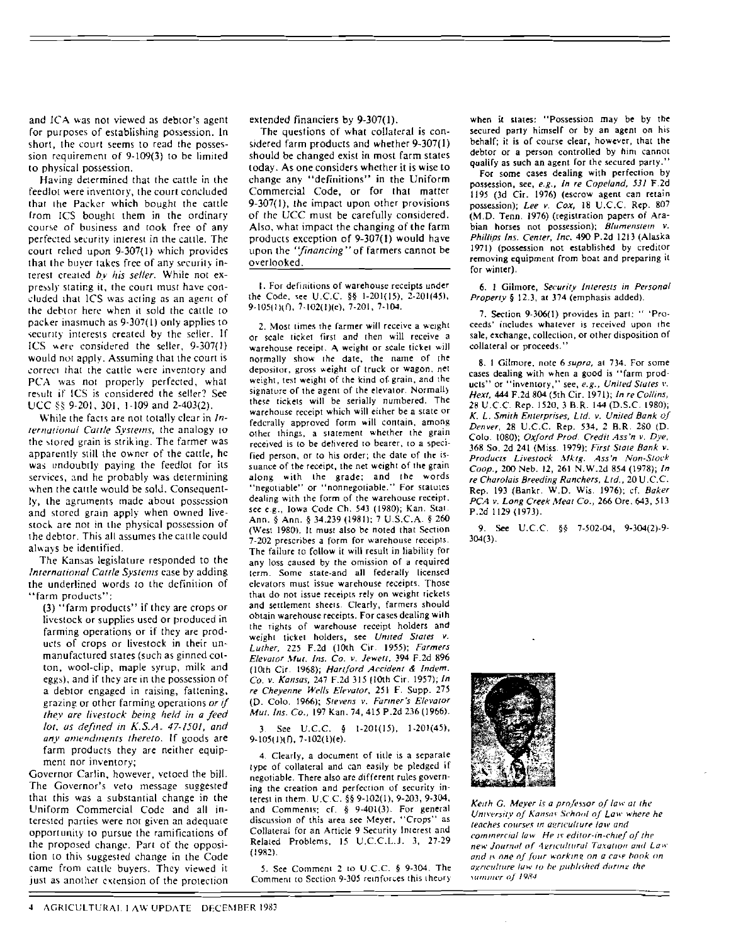and ICA was not viewed as debtor's agent for purposes of establishing possession. In short, the court seems to read the possession requirement of 9-109(3) to be limited to physical possession.

Having determined that the cattle in the feedlot were inventory, the court concluded that the Packer which bought the cattle from ICS bought them in the ordinary course of business and took free of any perfected security interest in the cattle. The court relied upon 9-307(1) which provides that the buyer takes free of any security interest created by his seller. While not expressly stating it, the court must have concluded that ICS was acting as an agent of the debtor here when it sold the cattle to packer inasmuch as 9-307(1) only applies to security interests created by the seller. If ICS were considered the seller, 9-307(1) would not apply. Assuming that the court is correct that the cattle were inventory and PCA was not properly perfected, what result if ICS is considered the seller? See UCC  $\frac{85}{5}$  9-201, 301, 1-109 and 2-403(2).

While the facts are not totally clear in International Cattle Systems, the analogy to the stored grain is striking. The farmer was apparently still the owner of the cattle, he was undoubtly paying the feedlot for its services, and he probably was determining when the cattle would be sold. Consequently, the agruments made about possession and stored grain apply when owned livestock are not in the physical possession of the debtor. This all assumes the cattle could always be identified.

The Kansas legislature responded to the International Cattle Systems case by adding the underlined words to the definition of "farm products":

(3) "farm products" if they are crops or livestock or supplies used or produced in farming operations or if they are products of crops or livestock in their unmanufactured states (such as ginned cotton, wool-clip, maple syrup, milk and eggs), and if they are in the possession of a debtor engaged in raising, fattening, grazing or other farming operations or if they are livestock being held in a feed lot, as defined in  $K.S.A.$  47-1501, and any amendments thereto. If goods are farm products they are neither equipment nor inventory;

Governor Carlin, however, vetoed the bill. The Governor's veto message suggested that this was a substantial change in the Uniform Commercial Code and all interested parties were not given an adequate opportunity to pursue the ramifications of the proposed change. Part of the opposition to this suggested change in the Code came from cattle buyers. They viewed it just as another extension of the protection extended financiers by 9-307(1).

The questions of what collateral is considered farm products and whether 9-307(1) should be changed exist in most farm states today. As one considers whether it is wise to change any "definitions" in the Uniform Commercial Code, or for that matter 9-307(1), the impact upon other provisions of the UCC must be carefully considered. Also, what impact the changing of the farm products exception of 9-307(1) would have upon the "financing" of farmers cannot be overlooked.

1. For definitions of warehouse receipts under the Code, see U.C.C. §§ 1-201(15), 2-201(45),  $9-105(1)(f)$ ,  $7-102(1)(e)$ ,  $7-201$ ,  $7-104$ .

2. Most times the farmer will receive a weight or scale ticket first and then will receive a warehouse receipt. A weight or scale ticket will normally show the date, the name of the depositor, gross weight of truck or wagon, net weight, test weight of the kind of grain, and the signature of the agent of the elevator. Normally these tickets will be serially numbered. The warehouse receipt which will either be a state or fedcrally approved form will contain, among other things, a statement whether the grain received is to be delivered to bearer, to a specified person, or to his order; the date of the issuance of the receipt, the net weight of the grain along with the grade; and the words "negotiable" or "nonnegotiable." For statutes dealing with the form of the warehouse receipt, see e.g., Iowa Code Ch. 543 (1980); Kan. Stat. Ann. § Ann. § 34.239 (1981); 7 U.S.C.A. § 260 (West 1980). It must also be noted that Section 7-202 prescribes a form for warehouse receipts. The failure to follow it will result in liability for any loss caused by the omission of a required term. Some state-and all federally licensed elevators must issue warehouse receipts. Those that do not issue receipts rely on weight tickets and settlement sheets. Clearly, farmers should obtain warehouse receipts. For cases dealing with the rights of warehouse receipt holders and weight ticket holders, see United States v. Luther, 225 F.2d (10th Cir. 1955); Farmers Elevator Mut. Ins. Co. v. Jewett, 394 F.2d 896 (10th Cir. 1968); Hartford Accident & Indem. Co. v. Kansas, 247 F.2d 315 (10th Cir. 1957); In re Cheyenne Wells Elevator, 251 F. Supp. 275 (D. Colo. 1966); Stevens v. Farmer's Elevator Mut. Ins. Co., 197 Kan. 74, 415 P.2d 236 (1966).

3. See U.C.C.  $\frac{1}{2}$  1-201(15), 1-201(45),  $9-105(1)(1)$ , 7-102(1)(e).

4. Clearly, a document of title is a separate type of collateral and can easily be pledged if negotiable. There also are different rules governing the creation and perfection of security interest in them. U.C.C. §§ 9-102(1), 9-203, 9-304, and Comments; cf. § 9-401(3). For general discussion of this area see Meyer, "Crops" as Collateral for an Article 9 Security Interest and Related Problems, 15 U.C.C.L.J. 3, 27-29  $(1982)$ 

5. See Comment 2 to U.C.C. § 9-304. The Comment to Section 9-305 reinforces this theory

when it states: "Possession may be by the secured party himself or by an agent on his behalf; it is of course clear, however, that the debtor or a person controlled by him cannot qualify as such an agent for the secured party.'

For some cases dealing with perfection by possession, see, e.g., In re Copeland, 531 F.2d 1195 (3d Cir. 1976) (escrow agent can retain possession); Lee v. Cox, 18 U.C.C. Rep. 807 (M.D. Tenn. 1976) (registration papers of Arabian horses not possession); Blumenstein v. Phillips Ins. Center, Inc. 490 P.2d 1213 (Alaska 1971) (possession not established by creditor removing equipment from boat and preparing it for winter).

6. 1 Gilmore, Security Interests in Personal Property § 12.3, at 374 (emphasis added).

7. Section 9-306(1) provides in part: " 'Proceeds' includes whatever is received upon the sale, exchange, collection, or other disposition of collateral or proceeds.'

8. 1 Gilmore, note 6 supra, at 734. For some cases dealing with when a good is "farm products" or "inventory," see, e.g., United States v. Hext, 444 F.2d 804 (5th Cir. 1971); In re Collins, 28 U.C.C. Rep. 1520, 3 B.R. 144 (D.S.C. 1980); K. L. Smith Enterprises, Ltd. v. United Bank of Denver, 28 U.C.C. Rep. 534, 2 B.R. 280 (D. Colo. 1080); Oxford Prod. Credit Ass'n v. Dye, 368 So. 2d 241 (Miss. 1979); First State Bank v. Products Livestock Mktg. Ass'n Non-Stock Coop., 200 Neb. 12, 261 N.W.2d 854 (1978); In re Charolais Breeding Ranchers, Ltd., 20 U.C.C. Rep. 193 (Bankr. W.D. Wis. 1976); cf. Baker PCA v. Long Creek Meat Co., 266 Ore. 643, 513 P.2d 1129 (1973).

9. See U.C.C. §§ 7-502-04, 9-304(2)-9- $304(3)$ .



Keith G. Meyer is a professor of law at the University of Kansas School of Law where he teaches courses in agriculture law and commercial law. He is editor-in-chief of the new Journal of Agricultural Taxation and Law and is one of four working on a case book on agriculture law to be published during the summer of 1984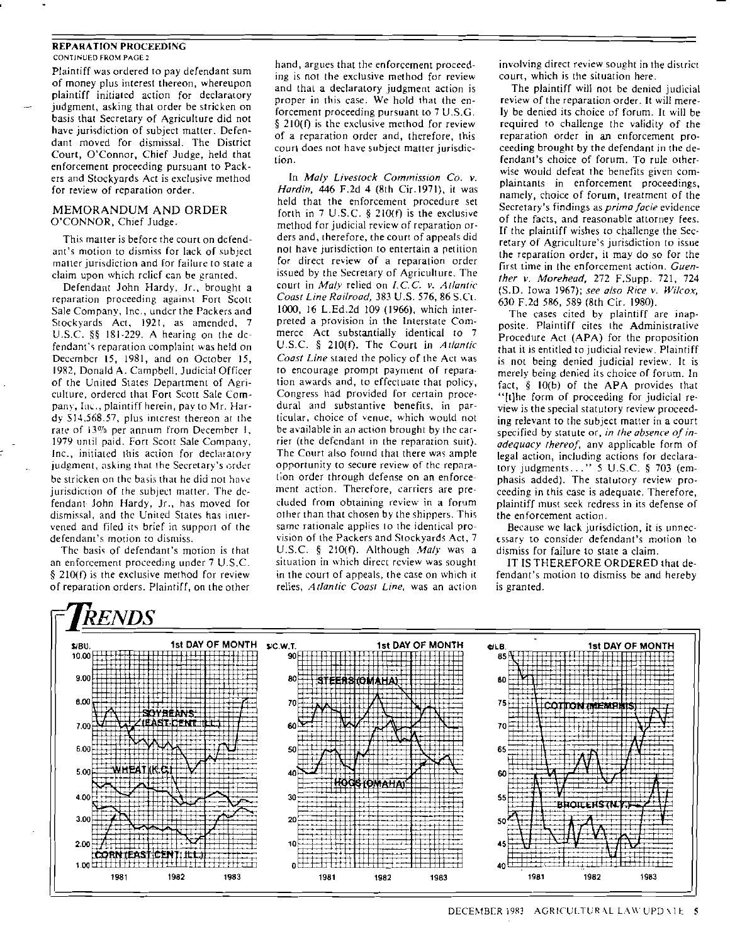## REPARATION PROCEEDING CONTINUED FROM PAGE 2

Plaintiff was ordered to pay defendant sum of money plus interest thereon, whereupon plaintiff initialed action for declaratory judgment, asking that order be stricken on basis that Secretary of Agriculture did not have jurisdiction of subject matter. Defendant moved for dismissal. The District Court, O'Connor, Chief Judge, held that enforcement proceeding pursuant to Packers and Stockyards Act is exclusive method for review of reparation order.

## MEMORANDUM AND ORDER O'CONNOR, Chief Judge.

This matter is before the court on defendant's mOlion to dismiss for lack of subject matter jurisdiction and for failure to state a claim upon which relief can be granted,

Defendant John Hardy. Jr., brought a reparation proceeding against Fort Scott Sale Company, Inc., undcr the Packers and Stockyards Act, 1921, as amended, 7 U.S.C.  $\S$ § 181-229. A hearing on the dcfendant's reparation complaint was held on December 15, 1981, and on October 15, 19R2, Donald A. Campbell, Judicial Officer of the United States Department of Agriculture, ordered that Fort Scott Sale Company, Inc., plaintiff herein, pay to Mr. Hardy \$14,568.57, plus interest thereon at the rate of 13% per annum from December 1, 1979 until paid. Fan Scott Sale Company, Inc., initiated this action for declaratory judgment, asking that the Secretary's order be stricken on the basis that he did not have jurisdiction of the subject matter. The defendant· john Hardy, Jr., has moved for dismissal, and the United States has intervened and filed its brief in support of the defendant's motion to dismiss.

The basis of defendant's motion is that an enforcement proceeding under 7 U.S.C. § 210(f) is the exclusive method for review of reparation orders. Plaintiff, on the other

hand, argues that the enforcement proceeding is not the exclusive method for review and thal a declaratory judgment action is proper in this case. We hold that Ihe enforcement proceeding pursuant to  $7$  U.S.G. § 210(f) is the exclusive method for review of a reparation order and, therefore, this court does not have subject matter jurisdiclion.

In *Moly Livestock Commission Co. v. Hardin,* 446 F.2d 4 (8th Cir.1971), it was held that the enforcement procedure set forth in 7 U.S.C. § 21O(f) is the exclusive method for judicial review of reparation orders and, therefore, the court of appeals did not have jurisdiction to entertain a petition for direct review of a reparation order issued by the Secretary of Agriculture. The court in *Moly* relied on *l.CC v. Atlantic Coast Line Railroad,* 383 U.S. 576, 86 S.Ct. 1000, 16 L.Ed.2d 109 (1966), which interpreted a provision in the Interstate Commerce Act substantially identical to 7 U.S.C. § 210(f). The Court in *Atlantic Coast Line* stated the policy of the Act was to encourage prompt payment of reparation awards and, to effectuate that policy, Congress had provided for certain procedural and substantive benefits, in particular, choice of venue, which would not be available in an action brought by the carrier (the defendant in the reparation suit). The Court also found that there was ample opportunity to secure review of the reparation order through defense on an enforcement action. Therefore, carriers are pre· cluded from obtaining review in a forum other than that chosen by the shippers. This same rationale applies to the identical pro vision of the Packers and Stockyards Act, 7 U.S.C. § 210(f). Although *Maly* was a situation in which direct review was sought in the court of appeals, the case on which it relies, *Atlantic Coast Line*, was an action

involving direct review sought in the district court, which is the situation here.

The plaintiff will not be denied judicial review of the reparation order. It will mere· ly be denied its choice of forum. Il will be required to challenge the validity of the reparation order in an enforcement proceeding brought by the defendant in the defendant's choice of forum. To rule otherwise would defeat the benefits given complaintants in enforcement proceedings, namely, choice of forum, treatment of the Secretary's findings as *primo facie* evidence of the facts, and reasonable atlorney fees. If the plaintiff wishes 10 chaIIenge the Secretary of Agriculture's jurisdiction to issue the reparation order, it may do so for the first time in the enforcement action. *Guenther v. Morehead,* 272 F.Supp. 721, 724 (S.D. Iowa 1967); *see 0150 Rice v. Wilcox,*  630 F.2d 586, 589 (8th Cir. 1980).

The cases cited by plaintiff are inapposite. Plaintiff cites the Administrative Procedure Act (APA) for the proposition that it is entitled to judicial review. Plainriff is not being denied judicial review. It is merely being denied its choice of forum. In fact, § 1O(b) of the APA provides that "(t]he form of proceeding for judicial review is the special statutory review proceeding relevant to the subject matter in a court specified by statute or, *in the absence of inadequacy {hereof,* any applicable form of legal action, including actions for deetaratory judgments ... " 5 U.S.c. § 703 (emphasis added). The statutory review proceeding in this case is adequate. Therefore, plaintiff must seek redress in its defense of the enforcement action.

Because we lack jurisdiction, it is unnecessary to consider defendant's motion to dismiss for failure to state a claim.

IT IS THEREFORE ORDERED that defendant's motion to dismiss be and hereby is granted.